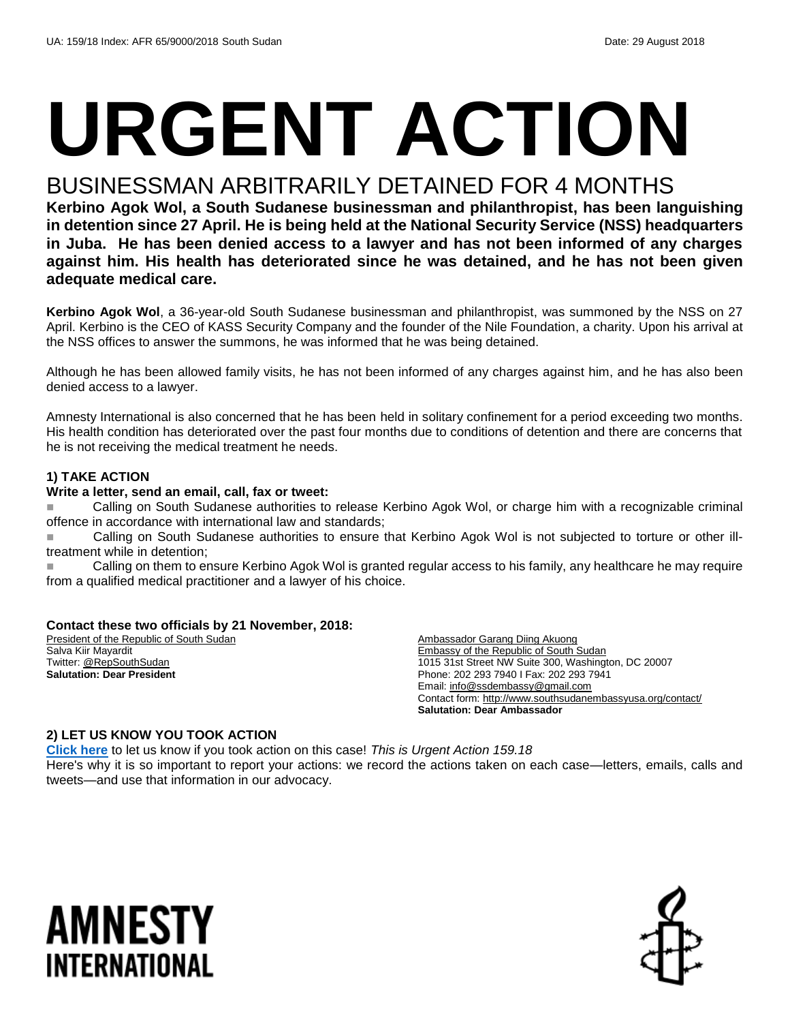# **URGENT ACTION**

## BUSINESSMAN ARBITRARILY DETAINED FOR 4 MONTHS

**Kerbino Agok Wol, a South Sudanese businessman and philanthropist, has been languishing in detention since 27 April. He is being held at the National Security Service (NSS) headquarters in Juba. He has been denied access to a lawyer and has not been informed of any charges against him. His health has deteriorated since he was detained, and he has not been given adequate medical care.**

**Kerbino Agok Wol**, a 36-year-old South Sudanese businessman and philanthropist, was summoned by the NSS on 27 April. Kerbino is the CEO of KASS Security Company and the founder of the Nile Foundation, a charity. Upon his arrival at the NSS offices to answer the summons, he was informed that he was being detained.

Although he has been allowed family visits, he has not been informed of any charges against him, and he has also been denied access to a lawyer.

Amnesty International is also concerned that he has been held in solitary confinement for a period exceeding two months. His health condition has deteriorated over the past four months due to conditions of detention and there are concerns that he is not receiving the medical treatment he needs.

#### **1) TAKE ACTION**

#### **Write a letter, send an email, call, fax or tweet:**

 Calling on South Sudanese authorities to release Kerbino Agok Wol, or charge him with a recognizable criminal offence in accordance with international law and standards;

■ Calling on South Sudanese authorities to ensure that Kerbino Agok Wol is not subjected to torture or other illtreatment while in detention;

Calling on them to ensure Kerbino Agok Wol is granted regular access to his family, any healthcare he may require from a qualified medical practitioner and a lawyer of his choice.

#### **Contact these two officials by 21 November, 2018:**

President of the Republic of South Sudan Salva Kiir Mayardit Twitter[: @RepSouthSudan](https://twitter.com/repsouthsudan?lang=en) **Salutation: Dear President**

Ambassador Garang Diing Akuong Embassy of the Republic of South Sudan 1015 31st Street NW Suite 300, Washington, DC 20007 Phone: 202 293 7940 I Fax: 202 293 7941 Email[: info@ssdembassy@gmail.com](mailto:info@ssdembassy@gmail.com) Contact form[: http://www.southsudanembassyusa.org/contact/](http://www.southsudanembassyusa.org/contact/) **Salutation: Dear Ambassador**

#### **2) LET US KNOW YOU TOOK ACTION**

**[Click here](https://www.amnestyusa.org/report-urgent-actions/)** to let us know if you took action on this case! *This is Urgent Action 159.18* Here's why it is so important to report your actions: we record the actions taken on each case—letters, emails, calls and tweets—and use that information in our advocacy.